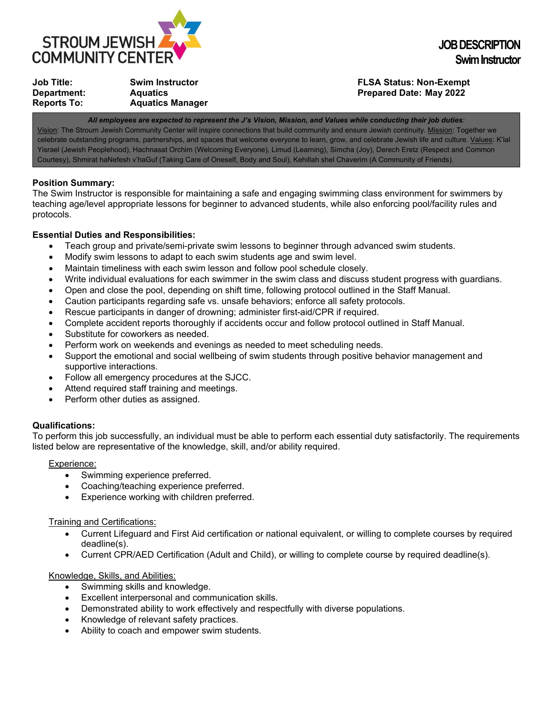

| Job Title:         | <b>Swim Instructor</b>  |
|--------------------|-------------------------|
| Department:        | <b>Aquatics</b>         |
| <b>Reports To:</b> | <b>Aquatics Manager</b> |

# **FLSA Status: Non-Exempt Prepared Date: May 2022**

*All employees are expected to represent the J's Vision, Mission, and Values while conducting their job duties:* Vision: The Stroum Jewish Community Center will inspire connections that build community and ensure Jewish continuity. Mission: Together we celebrate outstanding programs, partnerships, and spaces that welcome everyone to learn, grow, and celebrate Jewish life and culture. Values: K'lal Yisrael (Jewish Peoplehood), Hachnasat Orchim (Welcoming Everyone), Limud (Learning), Simcha (Joy), Derech Eretz (Respect and Common Courtesy), Shmirat haNefesh v'haGuf (Taking Care of Oneself, Body and Soul), Kehillah shel Chaverim (A Community of Friends).

### **Position Summary:**

The Swim Instructor is responsible for maintaining a safe and engaging swimming class environment for swimmers by teaching age/level appropriate lessons for beginner to advanced students, while also enforcing pool/facility rules and protocols.

# **Essential Duties and Responsibilities:**

- Teach group and private/semi-private swim lessons to beginner through advanced swim students.
- Modify swim lessons to adapt to each swim students age and swim level.
- Maintain timeliness with each swim lesson and follow pool schedule closely.
- Write individual evaluations for each swimmer in the swim class and discuss student progress with guardians.
- Open and close the pool, depending on shift time, following protocol outlined in the Staff Manual.
- Caution participants regarding safe vs. unsafe behaviors; enforce all safety protocols.
- Rescue participants in danger of drowning; administer first-aid/CPR if required.
- Complete accident reports thoroughly if accidents occur and follow protocol outlined in Staff Manual.
- Substitute for coworkers as needed.
- Perform work on weekends and evenings as needed to meet scheduling needs.
- Support the emotional and social wellbeing of swim students through positive behavior management and supportive interactions.
- Follow all emergency procedures at the SJCC.
- Attend required staff training and meetings.
- Perform other duties as assigned.

# **Qualifications:**

To perform this job successfully, an individual must be able to perform each essential duty satisfactorily. The requirements listed below are representative of the knowledge, skill, and/or ability required.

Experience:

- Swimming experience preferred.
- Coaching/teaching experience preferred.
- Experience working with children preferred.

Training and Certifications:

- Current Lifeguard and First Aid certification or national equivalent, or willing to complete courses by required deadline(s).
- Current CPR/AED Certification (Adult and Child), or willing to complete course by required deadline(s).

Knowledge, Skills, and Abilities:

- Swimming skills and knowledge.
- Excellent interpersonal and communication skills.
- Demonstrated ability to work effectively and respectfully with diverse populations.
- Knowledge of relevant safety practices.
- Ability to coach and empower swim students.